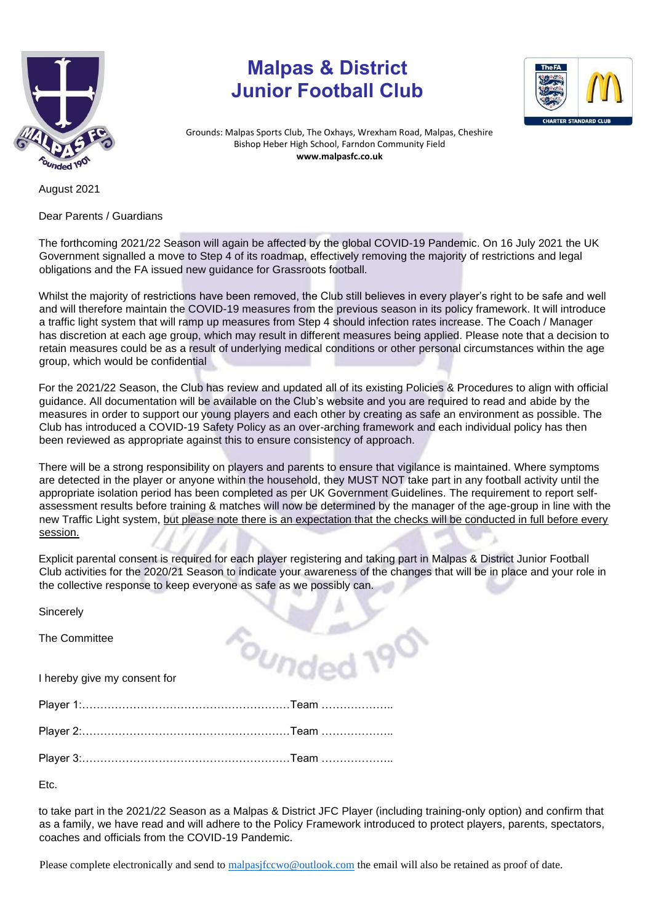

## **Malpas & District Junior Football Club**



Grounds: Malpas Sports Club, The Oxhays, Wrexham Road, Malpas, Cheshire Bishop Heber High School, Farndon Community Field **www.malpasfc.co.uk** 

August 2021

Dear Parents / Guardians

The forthcoming 2021/22 Season will again be affected by the global COVID-19 Pandemic. On 16 July 2021 the UK Government signalled a move to Step 4 of its roadmap, effectively removing the majority of restrictions and legal obligations and the FA issued new guidance for Grassroots football.

Whilst the majority of restrictions have been removed, the Club still believes in every player's right to be safe and well and will therefore maintain the COVID-19 measures from the previous season in its policy framework. It will introduce a traffic light system that will ramp up measures from Step 4 should infection rates increase. The Coach / Manager has discretion at each age group, which may result in different measures being applied. Please note that a decision to retain measures could be as a result of underlying medical conditions or other personal circumstances within the age group, which would be confidential

For the 2021/22 Season, the Club has review and updated all of its existing Policies & Procedures to align with official guidance. All documentation will be available on the Club's website and you are required to read and abide by the measures in order to support our young players and each other by creating as safe an environment as possible. The Club has introduced a COVID-19 Safety Policy as an over-arching framework and each individual policy has then been reviewed as appropriate against this to ensure consistency of approach.

There will be a strong responsibility on players and parents to ensure that vigilance is maintained. Where symptoms are detected in the player or anyone within the household, they MUST NOT take part in any football activity until the appropriate isolation period has been completed as per UK Government Guidelines. The requirement to report selfassessment results before training & matches will now be determined by the manager of the age-group in line with the new Traffic Light system, but please note there is an expectation that the checks will be conducted in full before every session.

Explicit parental consent is required for each player registering and taking part in Malpas & District Junior Football Club activities for the 2020/21 Season to indicate your awareness of the changes that will be in place and your role in the collective response to keep everyone as safe as we possibly can.

 $\delta$ Undod 19

**Sincerely** 

The Committee

I hereby give my consent for

Player 1:…………………………………………………Team ………………..

Player 2:…………………………………………………Team ………………..

Player 3:…………………………………………………Team ………………..

Etc.

to take part in the 2021/22 Season as a Malpas & District JFC Player (including training-only option) and confirm that as a family, we have read and will adhere to the Policy Framework introduced to protect players, parents, spectators, coaches and officials from the COVID-19 Pandemic.

Please complete electronically and send to [malpasjfccwo@outlook.com](mailto:malpasjfccwo@outlook.com) the email will also be retained as proof of date.